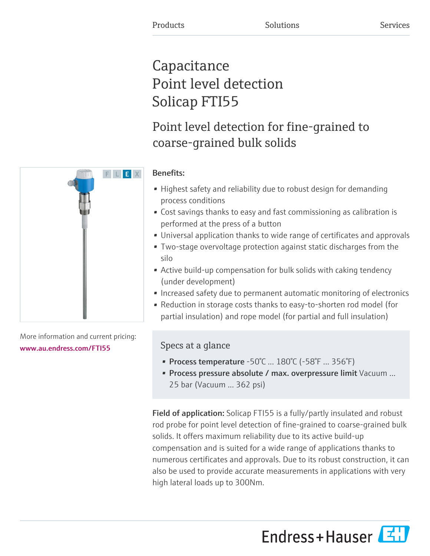# Capacitance Point level detection Solicap FTI55

Point level detection for fine-grained to coarse-grained bulk solids

# F L E X

# Benefits:

- Highest safety and reliability due to robust design for demanding process conditions
- Cost savings thanks to easy and fast commissioning as calibration is performed at the press of a button
- Universal application thanks to wide range of certificates and approvals
- Two-stage overvoltage protection against static discharges from the silo
- Active build-up compensation for bulk solids with caking tendency (under development)
- Increased safety due to permanent automatic monitoring of electronics
- Reduction in storage costs thanks to easy-to-shorten rod model (for partial insulation) and rope model (for partial and full insulation)

# Specs at a glance

- Process temperature  $-50^{\circ}$ C ...  $180^{\circ}$ C ( $-58^{\circ}$ F ... 356 $^{\circ}$ F)
- Process pressure absolute / max. overpressure limit Vacuum ... 25 bar (Vacuum ... 362 psi)

Field of application: Solicap FTI55 is a fully/partly insulated and robust rod probe for point level detection of fine-grained to coarse-grained bulk solids. It offers maximum reliability due to its active build-up compensation and is suited for a wide range of applications thanks to numerous certificates and approvals. Due to its robust construction, it can also be used to provide accurate measurements in applications with very high lateral loads up to 300Nm.

Endress+Hauser



More information and current pricing:

[www.au.endress.com/FTI55](https://www.au.endress.com/FTI55)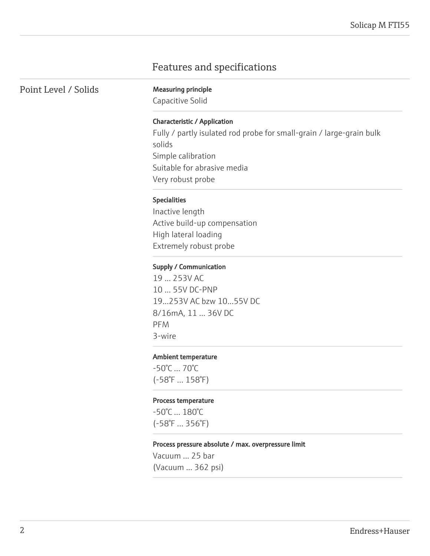# Features and specifications

Point Level / Solids Measuring principle

Capacitive Solid

### Characteristic / Application

Fully / partly isulated rod probe for small-grain / large-grain bulk solids Simple calibration Suitable for abrasive media Very robust probe

### Specialities

Inactive length Active build-up compensation High lateral loading Extremely robust probe

### Supply / Communication

19 ... 253V AC 10 ... 55V DC-PNP 19...253V AC bzw 10...55V DC 8/16mA, 11 ... 36V DC PFM 3-wire

### Ambient temperature

-50°C ... 70°C (-58°F ... 158°F)

### Process temperature

-50°C ... 180°C (-58°F ... 356°F)

### Process pressure absolute / max. overpressure limit

Vacuum ... 25 bar (Vacuum ... 362 psi)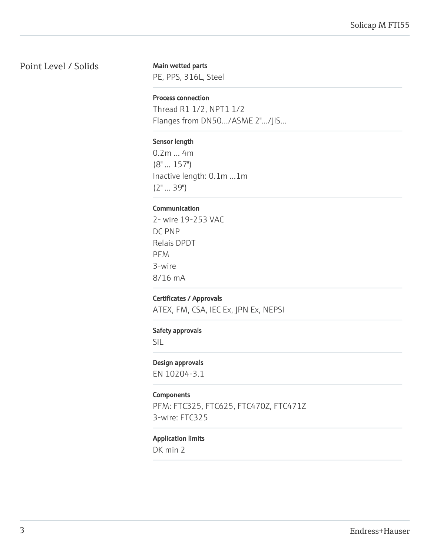# Point Level / Solids

Main wetted parts

PE, PPS, 316L, Steel

### Process connection

Thread R1 1/2, NPT1 1/2 Flanges from DN50.../ASME 2".../JIS...

### Sensor length

0.2m ... 4m (8" ... 157") Inactive length: 0.1m ...1m (2" ... 39")

### Communication

2- wire 19-253 VAC DC PNP Relais DPDT PFM 3-wire 8/16 mA

### Certificates / Approvals

ATEX, FM, CSA, IEC Ex, JPN Ex, NEPSI

### Safety approvals

SIL

### Design approvals

EN 10204-3.1

### Components

PFM: FTC325, FTC625, FTC470Z, FTC471Z 3-wire: FTC325

### Application limits

DK min 2